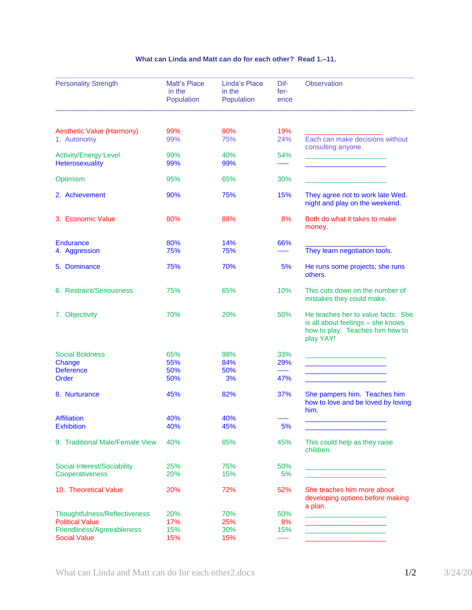## **What can Linda and Matt can do for each other? Read 1.–11.**

| <b>Personality Strength</b>                     | <b>Matt's Place</b><br>in the<br>Population | Linda's Place<br>in the<br>Population | Dif-<br>fer-<br>ence | <b>Observation</b>                                                                                                      |
|-------------------------------------------------|---------------------------------------------|---------------------------------------|----------------------|-------------------------------------------------------------------------------------------------------------------------|
|                                                 |                                             |                                       |                      |                                                                                                                         |
| <b>Aesthetic Value (Harmony)</b><br>1. Autonomy | 99%<br>99%                                  | 80%<br>75%                            | 19%<br>24%           | Each can make decisions without<br>consulting anyone.                                                                   |
| <b>Activity/Energy Level</b><br>Heterosexuality | 99%<br>99%                                  | 40%<br>99%                            | 54%<br>-----         |                                                                                                                         |
| Optimism                                        | 95%                                         | 65%                                   | 30%                  |                                                                                                                         |
| 2. Achievement                                  | 90%                                         | 75%                                   | 15%                  | They agree not to work late Wed.<br>night and play on the weekend.                                                      |
| 3. Economic Value                               | 80%                                         | 88%                                   | 8%                   | Both do what it takes to make<br>money.                                                                                 |
| <b>Endurance</b>                                | 80%                                         | 14%                                   | 66%                  |                                                                                                                         |
| 4. Aggression                                   | 75%                                         | 75%                                   | -----                | They learn negotiation tools.                                                                                           |
| 5. Dominance                                    | 75%                                         | 70%                                   | 5%                   | He runs some projects; she runs<br>others.                                                                              |
| 6. Restraint/Seriousness                        | 75%                                         | 65%                                   | 10%                  | This cuts down on the number of<br>mistakes they could make.                                                            |
| 7. Objectivity                                  | 70%                                         | 20%                                   | 50%                  | He teaches her to value facts. She<br>is all about feelings - she knows<br>how to play. Teaches him how to<br>play YAY! |
| <b>Social Boldness</b>                          | 65%                                         | 98%                                   | 33%                  |                                                                                                                         |
| Change                                          | 55%                                         | 84%                                   | 29%                  |                                                                                                                         |
| <b>Deference</b>                                | 50%                                         | 50%                                   | -----                |                                                                                                                         |
| Order                                           | 50%                                         | 3%                                    | 47%                  |                                                                                                                         |
| 8. Nurturance                                   | 45%                                         | 82%                                   | 37%                  | She pampers him. Teaches him<br>how to love and be loved by loving<br>him.                                              |
| <b>Affiliation</b>                              | 40%                                         | 40%                                   |                      |                                                                                                                         |
| <b>Exhibition</b>                               | 40%                                         | 45%                                   | 5%                   |                                                                                                                         |
| 9. Traditional Male/Female View                 | 40%                                         | 85%                                   | 45%                  | This could help as they raise<br>children.                                                                              |
| Social Interest/Sociability                     | 25%                                         | 75%                                   | 50%                  |                                                                                                                         |
| Cooperativeness                                 | 20%                                         | 15%                                   | 5%                   |                                                                                                                         |
| 10. Theoretical Value                           | 20%                                         | 72%                                   | 52%                  | She teaches him more about<br>developing options before making<br>a plan.                                               |
| Thoughtfulness/Reflectiveness                   | 20%                                         | 70%                                   | 50%                  |                                                                                                                         |
| <b>Political Value</b>                          | 17%                                         | 25%                                   | 8%                   | <u> 1990 - Johann John Harry, mars französischer A</u>                                                                  |
| Friendliness/Agreeableness                      | 15%                                         | 30%                                   | 15%                  | the control of the control of the control of the                                                                        |
| <b>Social Value</b>                             | 15%                                         | 15%                                   | -----                |                                                                                                                         |